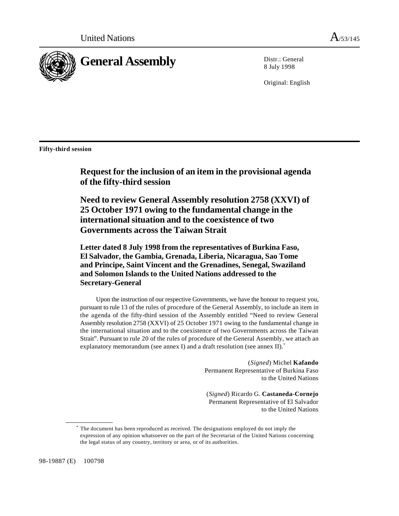

8 July 1998

Original: English

**Fifty-third session**

**Request for the inclusion of an item in the provisional agenda of the fifty-third session**

**Need to review General Assembly resolution 2758 (XXVI) of 25 October 1971 owing to the fundamental change in the international situation and to the coexistence of two Governments across the Taiwan Strait**

**Letter dated 8 July 1998 from the representatives of Burkina Faso, El Salvador, the Gambia, Grenada, Liberia, Nicaragua, Sao Tome and Principe, Saint Vincent and the Grenadines, Senegal, Swaziland and Solomon Islands to the United Nations addressed to the Secretary-General**

Upon the instruction of our respective Governments, we have the honour to request you, pursuant to rule 13 of the rules of procedure of the General Assembly, to include an item in the agenda of the fifty-third session of the Assembly entitled "Need to review General Assembly resolution 2758 (XXVI) of 25 October 1971 owing to the fundamental change in the international situation and to the coexistence of two Governments across the Taiwan Strait". Pursuant to rule 20 of the rules of procedure of the General Assembly, we attach an explanatory memorandum (see annex I) and a draft resolution (see annex II).<sup>\*</sup>

> (*Signed*) Michel **Kafando** Permanent Representative of Burkina Faso to the United Nations

> (*Signed*) Ricardo G. **Castaneda-Cornejo** Permanent Representative of El Salvador to the United Nations

The document has been reproduced as received. The designations employed do not imply the \* expression of any opinion whatsoever on the part of the Secretariat of the United Nations concerning the legal status of any country, territory or area, or of its authorities.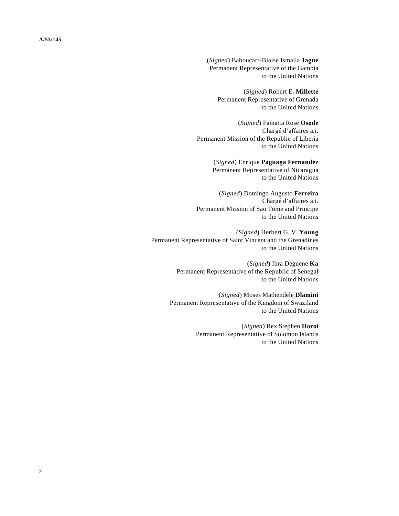(*Signed*) Baboucarr-Blaise Ismaila **Jagne** Permanent Representative of the Gambia to the United Nations

(*Signed*) Robert E. **Millette** Permanent Representative of Grenada to the United Nations

(*Signed*) Famatta Rose **Osode** Chargé d'affaires a.i. Permanent Mission of the Republic of Liberia to the United Nations

> (*Signed*) Enrique **Paguaga Fernandez** Permanent Representative of Nicaragua to the United Nations

(*Signed*) Domingo Augusto **Ferreira** Chargé d'affaires a.i. Permanent Mission of Sao Tome and Principe to the United Nations

(*Signed*) Herbert G. V. **Young** Permanent Representative of Saint Vincent and the Grenadines to the United Nations

> (*Signed*) Ibra Deguene **Ka** Permanent Representative of the Republic of Senegal to the United Nations

(*Signed*) Moses Mathendele **Dlamini** Permanent Representative of the Kingdom of Swaziland to the United Nations

> (*Signed*) Rex Stephen **Horoi** Permanent Representative of Solomon Islands to the United Nations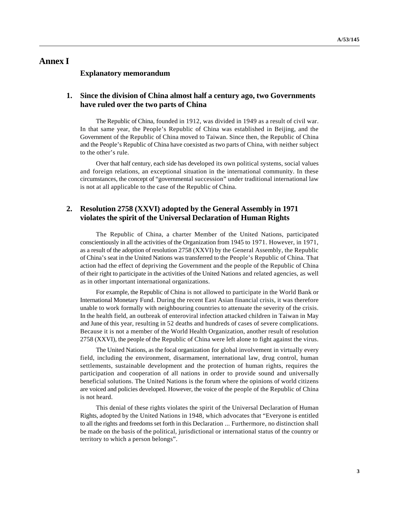# **Annex I**

#### **Explanatory memorandum**

#### **1. Since the division of China almost half a century ago, two Governments have ruled over the two parts of China**

The Republic of China, founded in 1912, was divided in 1949 as a result of civil war. In that same year, the People's Republic of China was established in Beijing, and the Government of the Republic of China moved to Taiwan. Since then, the Republic of China and the People's Republic of China have coexisted as two parts of China, with neither subject to the other's rule.

Over that half century, each side has developed its own political systems, social values and foreign relations, an exceptional situation in the international community. In these circumstances, the concept of "governmental succession" under traditional international law is not at all applicable to the case of the Republic of China.

#### **2. Resolution 2758 (XXVI) adopted by the General Assembly in 1971 violates the spirit of the Universal Declaration of Human Rights**

The Republic of China, a charter Member of the United Nations, participated conscientiously in all the activities of the Organization from 1945 to 1971. However, in 1971, as a result of the adoption of resolution 2758 (XXVI) by the General Assembly, the Republic of China's seat in the United Nations was transferred to the People's Republic of China. That action had the effect of depriving the Government and the people of the Republic of China of their right to participate in the activities of the United Nations and related agencies, as well as in other important international organizations.

For example, the Republic of China is not allowed to participate in the World Bank or International Monetary Fund. During the recent East Asian financial crisis, it was therefore unable to work formally with neighbouring countries to attenuate the severity of the crisis. In the health field, an outbreak of enteroviral infection attacked children in Taiwan in May and June of this year, resulting in 52 deaths and hundreds of cases of severe complications. Because it is not a member of the World Health Organization, another result of resolution 2758 (XXVI), the people of the Republic of China were left alone to fight against the virus.

The United Nations, as the focal organization for global involvement in virtually every field, including the environment, disarmament, international law, drug control, human settlements, sustainable development and the protection of human rights, requires the participation and cooperation of all nations in order to provide sound and universally beneficial solutions. The United Nations is the forum where the opinions of world citizens are voiced and policies developed. However, the voice of the people of the Republic of China is not heard.

This denial of these rights violates the spirit of the Universal Declaration of Human Rights, adopted by the United Nations in 1948, which advocates that "Everyone is entitled to all the rights and freedoms set forth in this Declaration ... Furthermore, no distinction shall be made on the basis of the political, jurisdictional or international status of the country or territory to which a person belongs".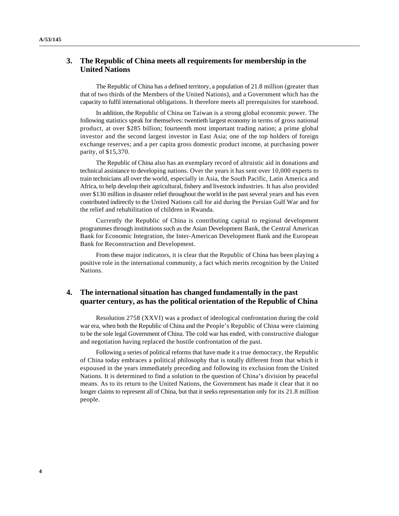### **3. The Republic of China meets all requirements for membership in the United Nations**

The Republic of China has a defined territory, a population of 21.8 million (greater than that of two thirds of the Members of the United Nations), and a Government which has the capacity to fulfil international obligations. It therefore meets all prerequisites for statehood.

In addition, the Republic of China on Taiwan is a strong global economic power. The following statistics speak for themselves: twentieth largest economy in terms of gross national product, at over \$285 billion; fourteenth most important trading nation; a prime global investor and the second largest investor in East Asia; one of the top holders of foreign exchange reserves; and a per capita gross domestic product income, at purchasing power parity, of \$15,370.

The Republic of China also has an exemplary record of altruistic aid in donations and technical assistance to developing nations. Over the years it has sent over 10,000 experts to train technicians all over the world, especially in Asia, the South Pacific, Latin America and Africa, to help develop their agricultural, fishery and livestock industries. It has also provided over \$130 million in disaster relief throughout the world in the past several years and has even contributed indirectly to the United Nations call for aid during the Persian Gulf War and for the relief and rehabilitation of children in Rwanda.

Currently the Republic of China is contributing capital to regional development programmes through institutions such as the Asian Development Bank, the Central American Bank for Economic Integration, the Inter-American Development Bank and the European Bank for Reconstruction and Development.

From these major indicators, it is clear that the Republic of China has been playing a positive role in the international community, a fact which merits recognition by the United Nations.

#### **4. The international situation has changed fundamentally in the past quarter century, as has the political orientation of the Republic of China**

Resolution 2758 (XXVI) was a product of ideological confrontation during the cold war era, when both the Republic of China and the People's Republic of China were claiming to be the sole legal Government of China. The cold war has ended, with constructive dialogue and negotiation having replaced the hostile confrontation of the past.

Following a series of political reforms that have made it a true democracy, the Republic of China today embraces a political philosophy that is totally different from that which it espoused in the years immediately preceding and following its exclusion from the United Nations. It is determined to find a solution to the question of China's division by peaceful means. As to its return to the United Nations, the Government has made it clear that it no longer claims to represent all of China, but that it seeks representation only for its 21.8 million people.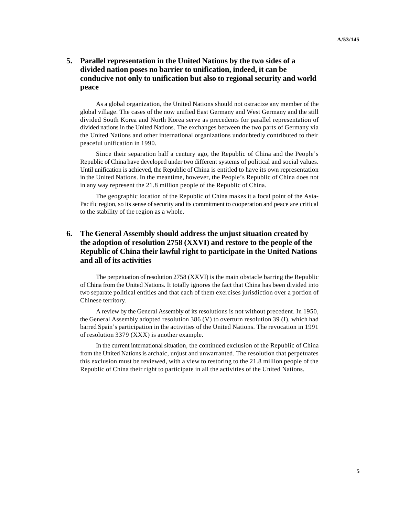## **5. Parallel representation in the United Nations by the two sides of a divided nation poses no barrier to unification, indeed, it can be conducive not only to unification but also to regional security and world peace**

As a global organization, the United Nations should not ostracize any member of the global village. The cases of the now unified East Germany and West Germany and the still divided South Korea and North Korea serve as precedents for parallel representation of divided nations in the United Nations. The exchanges between the two parts of Germany via the United Nations and other international organizations undoubtedly contributed to their peaceful unification in 1990.

Since their separation half a century ago, the Republic of China and the People's Republic of China have developed under two different systems of political and social values. Until unification is achieved, the Republic of China is entitled to have its own representation in the United Nations. In the meantime, however, the People's Republic of China does not in any way represent the 21.8 million people of the Republic of China.

The geographic location of the Republic of China makes it a focal point of the Asia-Pacific region, so its sense of security and its commitment to cooperation and peace are critical to the stability of the region as a whole.

## **6. The General Assembly should address the unjust situation created by the adoption of resolution 2758 (XXVI) and restore to the people of the Republic of China their lawful right to participate in the United Nations and all of its activities**

The perpetuation of resolution 2758 (XXVI) is the main obstacle barring the Republic of China from the United Nations. It totally ignores the fact that China has been divided into two separate political entities and that each of them exercises jurisdiction over a portion of Chinese territory.

A review by the General Assembly of its resolutions is not without precedent. In 1950, the General Assembly adopted resolution 386 (V) to overturn resolution 39 (I), which had barred Spain's participation in the activities of the United Nations. The revocation in 1991 of resolution 3379 (XXX) is another example.

In the current international situation, the continued exclusion of the Republic of China from the United Nations is archaic, unjust and unwarranted. The resolution that perpetuates this exclusion must be reviewed, with a view to restoring to the 21.8 million people of the Republic of China their right to participate in all the activities of the United Nations.